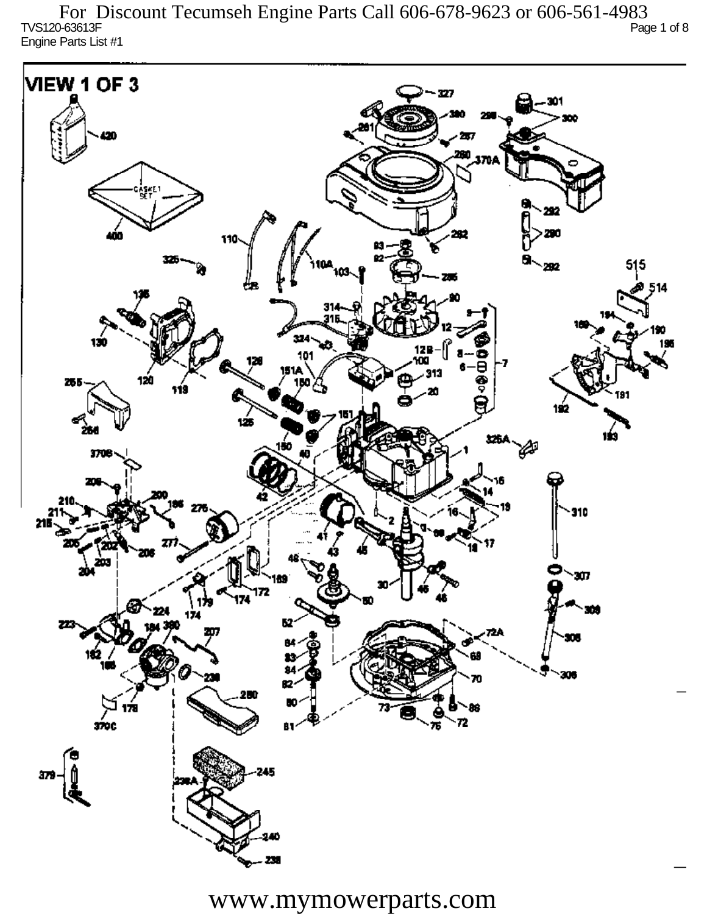TVS120-63613F Page 1 of 8 Engine Parts List #1 For Discount Tecumseh Engine Parts Call 606-678-9623 or 606-561-4983

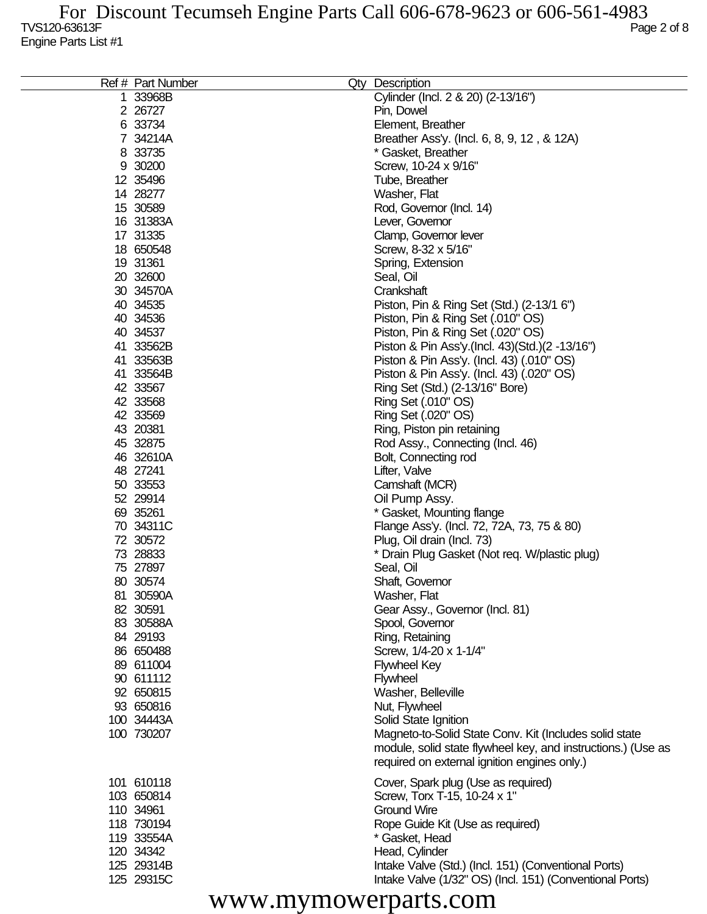| Ref # Part Number      | Qty Description                                              |
|------------------------|--------------------------------------------------------------|
| 1 33968B               | Cylinder (Incl. 2 & 20) (2-13/16")                           |
| 2 26727                | Pin, Dowel                                                   |
| 6 33734                | Element, Breather                                            |
| 7 34214A               | Breather Ass'y. (Incl. 6, 8, 9, 12, & 12A)                   |
| 8 33735                | * Gasket, Breather                                           |
| 9 30200                | Screw, 10-24 x 9/16"                                         |
| 12 35496               | Tube, Breather                                               |
| 14 28277               | Washer, Flat                                                 |
| 15 30589               | Rod, Governor (Incl. 14)                                     |
| 16 31383A              | Lever, Governor                                              |
| 17 31335               | Clamp, Governor lever                                        |
| 18 650548              | Screw, 8-32 x 5/16"                                          |
| 19 31361               | Spring, Extension                                            |
| 20 32600               | Seal, Oil                                                    |
| 30 34570A              | Crankshaft                                                   |
| 40 34535               | Piston, Pin & Ring Set (Std.) (2-13/1 6")                    |
| 40 34536               | Piston, Pin & Ring Set (.010" OS)                            |
| 40 34537               | Piston, Pin & Ring Set (.020" OS)                            |
| 41 33562B              | Piston & Pin Ass'y (Incl. 43) (Std.) (2 -13/16")             |
| 41 33563B              | Piston & Pin Ass'y. (Incl. 43) (.010" OS)                    |
| 41 33564B              | Piston & Pin Ass'y. (Incl. 43) (.020" OS)                    |
| 42 33567               | Ring Set (Std.) (2-13/16" Bore)                              |
| 42 33568               | Ring Set (.010" OS)                                          |
| 42 33569               | Ring Set (.020" OS)                                          |
| 43 20381               | Ring, Piston pin retaining                                   |
| 45 32875               | Rod Assy., Connecting (Incl. 46)                             |
| 46 32610A              | Bolt, Connecting rod                                         |
| 48 27241               | Lifter, Valve                                                |
| 50 33553               | Camshaft (MCR)                                               |
| 52 29914               | Oil Pump Assy.                                               |
| 69 35261               | * Gasket, Mounting flange                                    |
| 70 34311C              | Flange Ass'y. (Incl. 72, 72A, 73, 75 & 80)                   |
| 72 30572               | Plug, Oil drain (Incl. 73)                                   |
| 73 28833               | * Drain Plug Gasket (Not req. W/plastic plug)                |
| 75 27897               | Seal, Oil                                                    |
| 80 30574               | Shaft, Governor                                              |
| 81 30590A              | Washer, Flat                                                 |
| 82 30591               | Gear Assy., Governor (Incl. 81)                              |
| 83 30588A              | Spool, Governor                                              |
| 84 29193               | Ring, Retaining                                              |
| 86 650488              | Screw, 1/4-20 x 1-1/4"                                       |
| 89 611004<br>90 611112 | <b>Flywheel Key</b>                                          |
|                        | Flywheel                                                     |
| 92 650815<br>93 650816 | Washer, Belleville<br>Nut, Flywheel                          |
| 100 34443A             | Solid State Ignition                                         |
| 100 730207             | Magneto-to-Solid State Conv. Kit (Includes solid state       |
|                        | module, solid state flywheel key, and instructions.) (Use as |
|                        | required on external ignition engines only.)                 |
|                        |                                                              |
| 101 610118             | Cover, Spark plug (Use as required)                          |
| 103 650814             | Screw, Torx T-15, 10-24 x 1"                                 |
| 110 34961              | <b>Ground Wire</b>                                           |
| 118 730194             | Rope Guide Kit (Use as required)                             |
| 119 33554A             | * Gasket, Head                                               |
| 120 34342              | Head, Cylinder                                               |
| 125 29314B             | Intake Valve (Std.) (Incl. 151) (Conventional Ports)         |
| 125 29315C             | Intake Valve (1/32" OS) (Incl. 151) (Conventional Ports)     |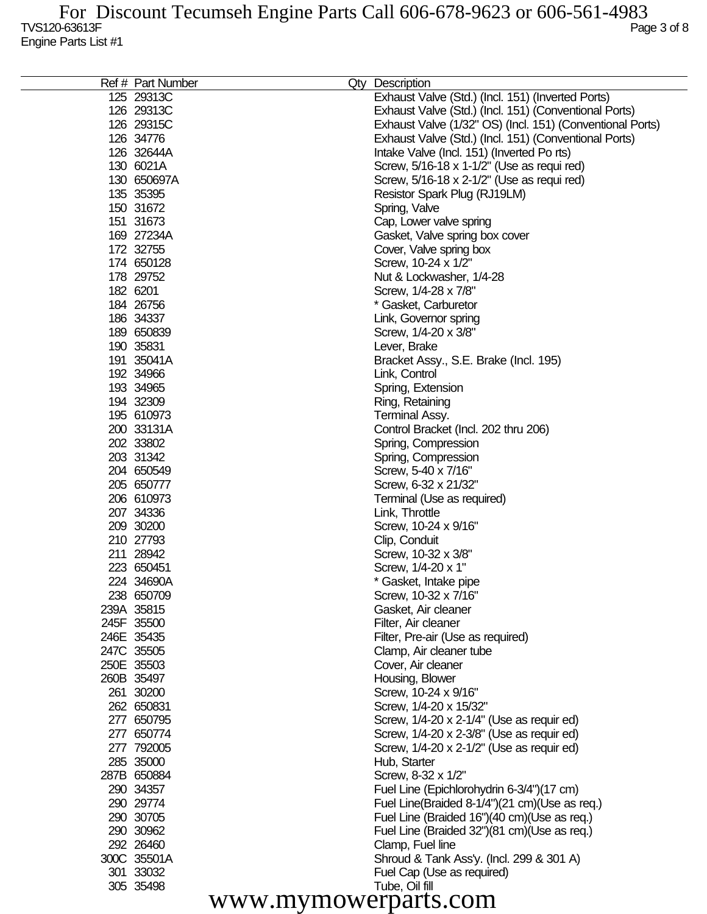|                         | Ref # Part Number | Qty Description                                             |  |
|-------------------------|-------------------|-------------------------------------------------------------|--|
| 125 29313C              |                   | Exhaust Valve (Std.) (Incl. 151) (Inverted Ports)           |  |
| 126 29313C              |                   | Exhaust Valve (Std.) (Incl. 151) (Conventional Ports)       |  |
| 126 29315C              |                   | Exhaust Valve (1/32" OS) (Incl. 151) (Conventional Ports)   |  |
| 126 34776               |                   | Exhaust Valve (Std.) (Incl. 151) (Conventional Ports)       |  |
| 126 32644A              |                   | Intake Valve (Incl. 151) (Inverted Ports)                   |  |
| 130 6021A               |                   | Screw, 5/16-18 x 1-1/2" (Use as requi red)                  |  |
| 130 650697A             |                   | Screw, 5/16-18 x 2-1/2" (Use as requi red)                  |  |
| 135 35395               |                   | Resistor Spark Plug (RJ19LM)                                |  |
| 150 31672               |                   | Spring, Valve                                               |  |
| 151 31673               |                   | Cap, Lower valve spring                                     |  |
| 169 27234A              |                   | Gasket, Valve spring box cover                              |  |
| 172 32755               |                   | Cover, Valve spring box                                     |  |
| 174 650128              |                   | Screw, 10-24 x 1/2"                                         |  |
| 178 29752               |                   | Nut & Lockwasher, 1/4-28                                    |  |
| 182 6201                |                   | Screw, 1/4-28 x 7/8"                                        |  |
| 184 26756               |                   | * Gasket, Carburetor                                        |  |
| 186 34337               |                   | Link, Governor spring                                       |  |
| 189 650839              |                   | Screw, 1/4-20 x 3/8"                                        |  |
| 190 35831               |                   | Lever, Brake                                                |  |
| 191 35041A              |                   | Bracket Assy., S.E. Brake (Incl. 195)                       |  |
| 192 34966               |                   | Link, Control                                               |  |
| 193 34965               |                   | Spring, Extension                                           |  |
| 194 32309<br>195 610973 |                   | Ring, Retaining                                             |  |
| 200 33131A              |                   | Terminal Assy.                                              |  |
| 202 33802               |                   | Control Bracket (Incl. 202 thru 206)<br>Spring, Compression |  |
| 203 31342               |                   | Spring, Compression                                         |  |
| 204 650549              |                   | Screw, 5-40 x 7/16"                                         |  |
| 205 650777              |                   | Screw, 6-32 x 21/32"                                        |  |
| 206 610973              |                   | Terminal (Use as required)                                  |  |
| 207 34336               |                   | Link, Throttle                                              |  |
| 209 30200               |                   | Screw, 10-24 x 9/16"                                        |  |
| 210 27793               |                   | Clip, Conduit                                               |  |
| 211 28942               |                   | Screw, 10-32 x 3/8"                                         |  |
| 223 650451              |                   | Screw, 1/4-20 x 1"                                          |  |
| 224 34690A              |                   | * Gasket, Intake pipe                                       |  |
| 238 650709              |                   | Screw, 10-32 x 7/16"                                        |  |
| 239A 35815              |                   | Gasket, Air cleaner                                         |  |
| 245F 35500              |                   | Filter, Air cleaner                                         |  |
| 246E 35435              |                   | Filter, Pre-air (Use as required)                           |  |
| 247C 35505              |                   | Clamp, Air cleaner tube                                     |  |
| 250E 35503              |                   | Cover, Air cleaner                                          |  |
| 260B 35497              |                   | Housing, Blower                                             |  |
| 261 30200               |                   | Screw, 10-24 x 9/16"                                        |  |
| 262 650831              |                   | Screw, 1/4-20 x 15/32"                                      |  |
| 277 650795              |                   | Screw, 1/4-20 x 2-1/4" (Use as requir ed)                   |  |
| 277 650774              |                   | Screw, 1/4-20 x 2-3/8" (Use as requir ed)                   |  |
| 277 792005              |                   | Screw, 1/4-20 x 2-1/2" (Use as requir ed)                   |  |
| 285 35000               |                   | Hub, Starter                                                |  |
| 287B 650884             |                   | Screw, 8-32 x 1/2"                                          |  |
| 290 34357               |                   | Fuel Line (Epichlorohydrin 6-3/4")(17 cm)                   |  |
| 290 29774               |                   | Fuel Line(Braided 8-1/4")(21 cm)(Use as req.)               |  |
| 290 30705               |                   | Fuel Line (Braided 16")(40 cm)(Use as req.)                 |  |
| 290 30962               |                   | Fuel Line (Braided 32")(81 cm)(Use as req.)                 |  |
| 292 26460               |                   | Clamp, Fuel line                                            |  |
| 300C 35501A             |                   | Shroud & Tank Ass'y. (Incl. 299 & 301 A)                    |  |
| 301 33032<br>305 35498  |                   | Fuel Cap (Use as required)<br>Tube, Oil fill                |  |
|                         |                   |                                                             |  |
| www.mymowerparts.com    |                   |                                                             |  |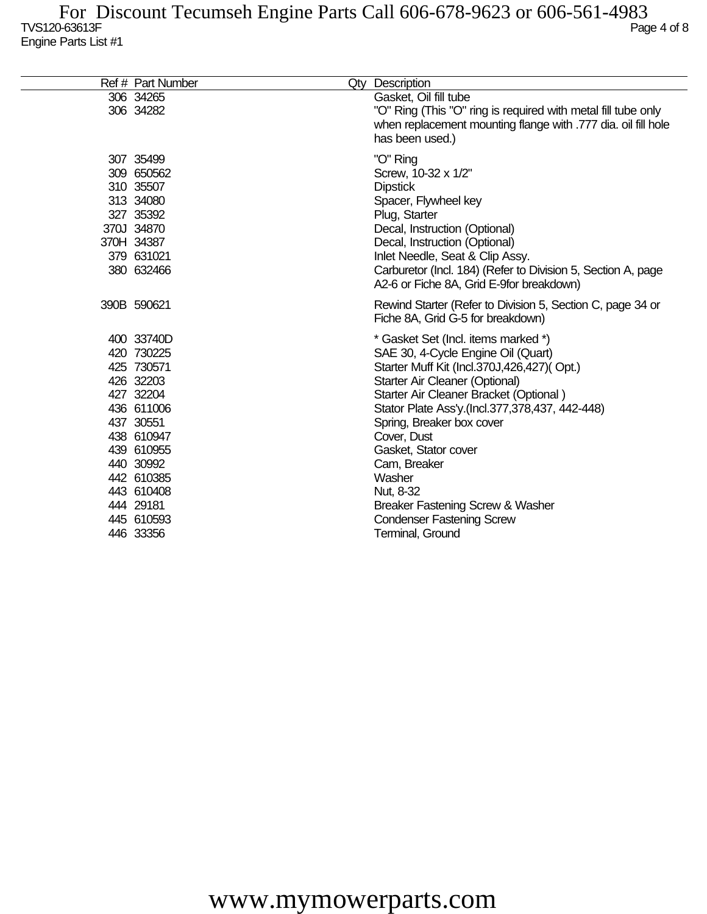| Ref # Part Number                                                                                                                                                                                        | Qty Description                                                                                                                                                                                                                                                                                                                                                                                                                                              |
|----------------------------------------------------------------------------------------------------------------------------------------------------------------------------------------------------------|--------------------------------------------------------------------------------------------------------------------------------------------------------------------------------------------------------------------------------------------------------------------------------------------------------------------------------------------------------------------------------------------------------------------------------------------------------------|
| 306 34265<br>306 34282                                                                                                                                                                                   | Gasket, Oil fill tube<br>"O" Ring (This "O" ring is required with metal fill tube only<br>when replacement mounting flange with .777 dia. oil fill hole<br>has been used.)                                                                                                                                                                                                                                                                                   |
| 307 35499<br>309 650562<br>310 35507<br>313 34080<br>327 35392<br>370J 34870<br>370H 34387<br>379 631021<br>380 632466                                                                                   | "O" Ring<br>Screw, 10-32 x 1/2"<br><b>Dipstick</b><br>Spacer, Flywheel key<br>Plug, Starter<br>Decal, Instruction (Optional)<br>Decal, Instruction (Optional)<br>Inlet Needle, Seat & Clip Assy.<br>Carburetor (Incl. 184) (Refer to Division 5, Section A, page<br>A2-6 or Fiche 8A, Grid E-9for breakdown)                                                                                                                                                 |
| 390B 590621                                                                                                                                                                                              | Rewind Starter (Refer to Division 5, Section C, page 34 or<br>Fiche 8A, Grid G-5 for breakdown)                                                                                                                                                                                                                                                                                                                                                              |
| 400 33740D<br>420 730225<br>425 730571<br>426 32203<br>427 32204<br>436 611006<br>437 30551<br>438 610947<br>439 610955<br>440 30992<br>442 610385<br>443 610408<br>444 29181<br>445 610593<br>446 33356 | * Gasket Set (Incl. items marked *)<br>SAE 30, 4-Cycle Engine Oil (Quart)<br>Starter Muff Kit (Incl.370J,426,427)(Opt.)<br>Starter Air Cleaner (Optional)<br>Starter Air Cleaner Bracket (Optional)<br>Stator Plate Ass'y (Incl.377,378,437, 442-448)<br>Spring, Breaker box cover<br>Cover, Dust<br>Gasket, Stator cover<br>Cam, Breaker<br>Washer<br>Nut, 8-32<br>Breaker Fastening Screw & Washer<br><b>Condenser Fastening Screw</b><br>Terminal, Ground |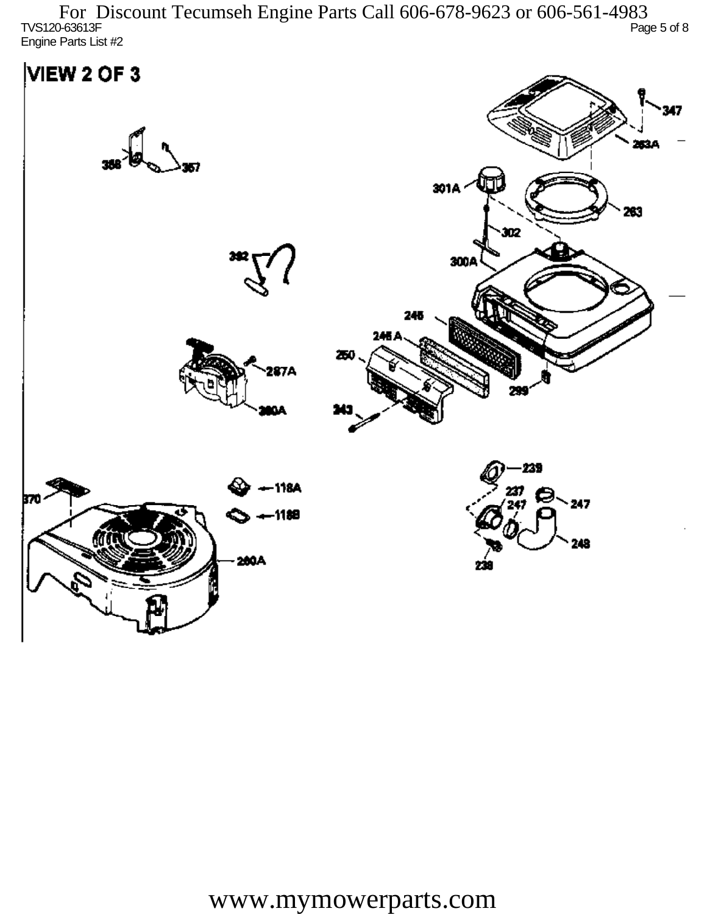TVS120-63613F Page 5 of 8 Engine Parts List #2 For Discount Tecumseh Engine Parts Call 606-678-9623 or 606-561-4983

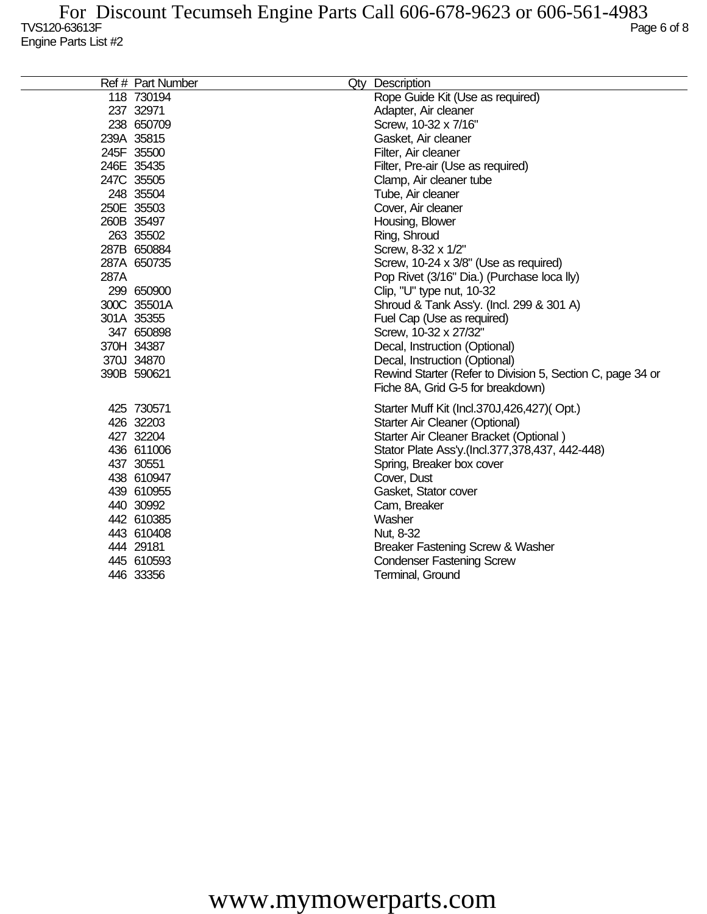|      | Ref # Part Number | Qty Description                                            |
|------|-------------------|------------------------------------------------------------|
|      | 118 730194        | Rope Guide Kit (Use as required)                           |
|      | 237 32971         | Adapter, Air cleaner                                       |
|      | 238 650709        | Screw, 10-32 x 7/16"                                       |
|      | 239A 35815        | Gasket, Air cleaner                                        |
|      | 245F 35500        | Filter, Air cleaner                                        |
|      | 246E 35435        | Filter, Pre-air (Use as required)                          |
|      | 247C 35505        | Clamp, Air cleaner tube                                    |
|      | 248 35504         | Tube, Air cleaner                                          |
|      | 250E 35503        | Cover, Air cleaner                                         |
|      | 260B 35497        | Housing, Blower                                            |
|      | 263 35502         | Ring, Shroud                                               |
|      | 287B 650884       | Screw, 8-32 x 1/2"                                         |
|      | 287A 650735       | Screw, 10-24 x 3/8" (Use as required)                      |
| 287A |                   | Pop Rivet (3/16" Dia.) (Purchase loca lly)                 |
|      | 299 650900        | Clip, "U" type nut, 10-32                                  |
|      | 300C 35501A       | Shroud & Tank Ass'y. (Incl. 299 & 301 A)                   |
|      | 301A 35355        | Fuel Cap (Use as required)                                 |
|      | 347 650898        | Screw, 10-32 x 27/32"                                      |
|      | 370H 34387        | Decal, Instruction (Optional)                              |
|      | 370J 34870        | Decal, Instruction (Optional)                              |
|      | 390B 590621       | Rewind Starter (Refer to Division 5, Section C, page 34 or |
|      |                   | Fiche 8A, Grid G-5 for breakdown)                          |
|      | 425 730571        | Starter Muff Kit (Incl.370J,426,427)(Opt.)                 |
|      | 426 32203         | Starter Air Cleaner (Optional)                             |
|      | 427 32204         | Starter Air Cleaner Bracket (Optional)                     |
|      | 436 611006        | Stator Plate Ass'y.(Incl.377,378,437, 442-448)             |
|      | 437 30551         | Spring, Breaker box cover                                  |
|      | 438 610947        | Cover, Dust                                                |
|      | 439 610955        | Gasket, Stator cover                                       |
|      | 440 30992         | Cam, Breaker                                               |
|      | 442 610385        | Washer                                                     |
|      | 443 610408        | Nut, 8-32                                                  |
|      | 444 29181         | Breaker Fastening Screw & Washer                           |
|      | 445 610593        | <b>Condenser Fastening Screw</b>                           |
|      | 446 33356         | Terminal, Ground                                           |
|      |                   |                                                            |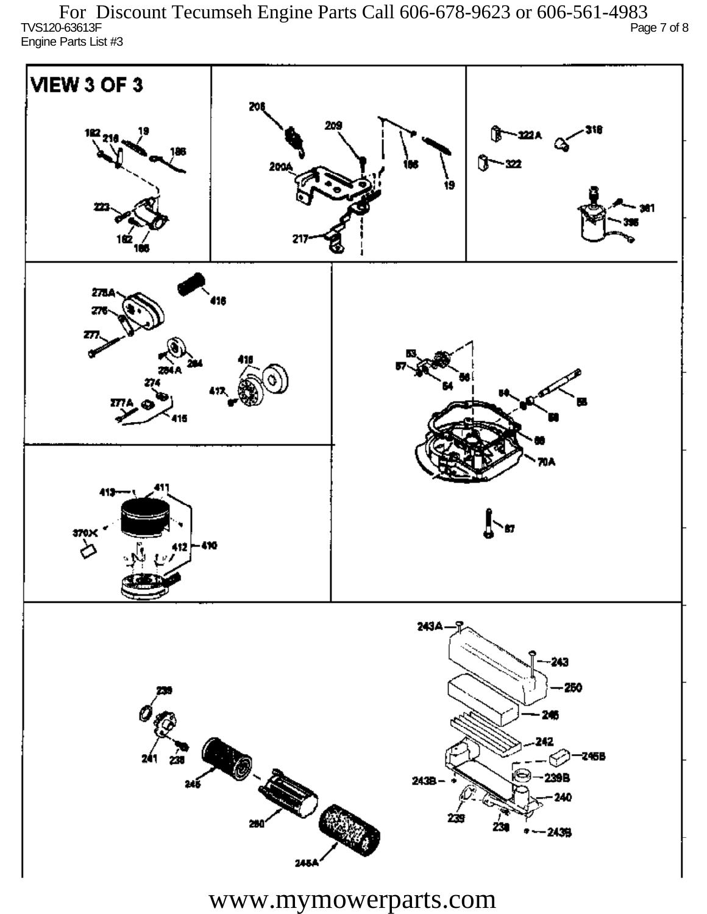TVS120-63613F Page 7 of 8 Engine Parts List #3 For Discount Tecumseh Engine Parts Call 606-678-9623 or 606-561-4983